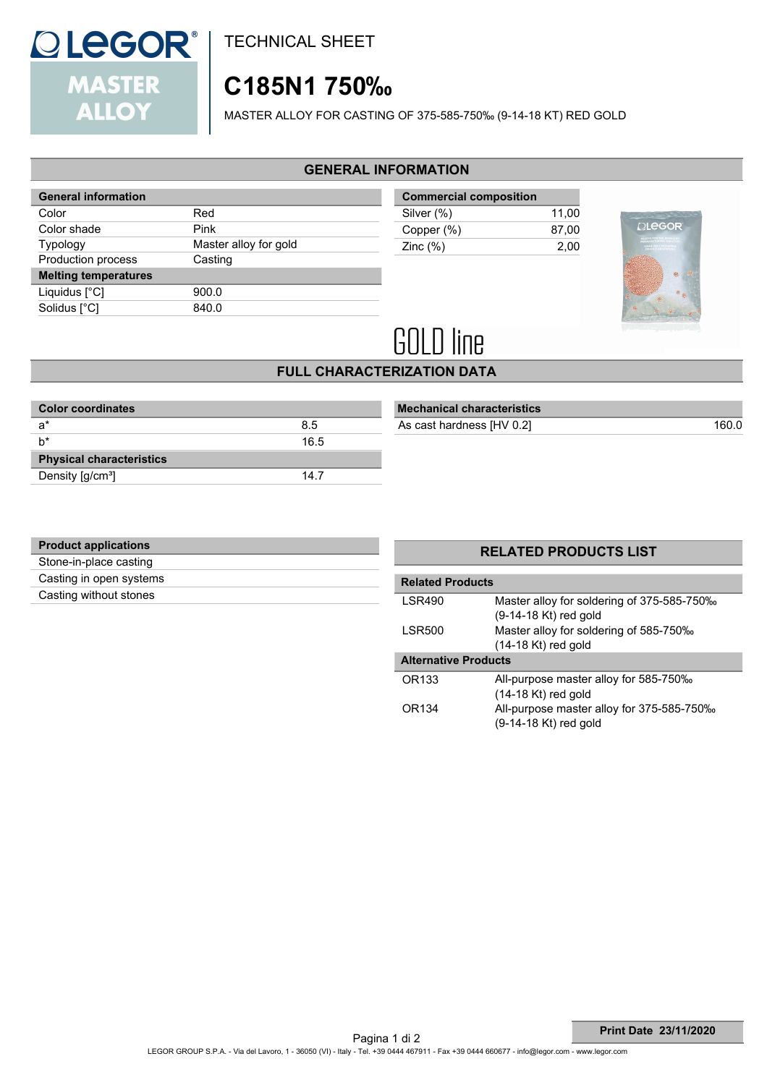

TECHNICAL SHEET

# **C185N1 750‰**

MASTER ALLOY FOR CASTING OF 375-585-750‰ (9-14-18 KT) RED GOLD

## **GENERAL INFORMATION**

| <b>General information</b>  |                       |
|-----------------------------|-----------------------|
| Color                       | Red                   |
| Color shade                 | Pink                  |
| <b>Typology</b>             | Master alloy for gold |
| Production process          | Casting               |
| <b>Melting temperatures</b> |                       |
| Liquidus [°C]               | 900.0                 |
| Solidus [°C]                | 840.0                 |

| <b>Commercial composition</b> |       |
|-------------------------------|-------|
| Silver (%)                    | 11.00 |
| Copper (%)                    | 87.00 |
| Zinc $(\%)$                   | 2.00  |



# **GOLD line**

## **FULL CHARACTERIZATION DATA**

| <b>Color coordinates</b>        |      |
|---------------------------------|------|
| $a^*$                           | 8.5  |
| h*                              | 16.5 |
| <b>Physical characteristics</b> |      |
| Density [g/cm <sup>3</sup> ]    | 14.7 |

| <b>Mechanical characteristics</b> |       |
|-----------------------------------|-------|
| As cast hardness [HV 0.2]         | 160.0 |

| <b>Product applications</b> |  |
|-----------------------------|--|
| Stone-in-place casting      |  |
| Casting in open systems     |  |
| Casting without stones      |  |
|                             |  |

| <b>Related Products</b>     |                                                                       |  |
|-----------------------------|-----------------------------------------------------------------------|--|
| <b>LSR490</b>               | Master alloy for soldering of 375-585-750%<br>$(9-14-18$ Kt) red gold |  |
| <b>LSR500</b>               | Master alloy for soldering of 585-750‰<br>$(14-18$ Kt) red gold       |  |
| <b>Alternative Products</b> |                                                                       |  |
| OR133                       | All-purpose master alloy for 585-750‰<br>$(14-18$ Kt) red gold        |  |
| OR134                       | All-purpose master alloy for 375-585-750%<br>(9-14-18 Kt) red gold    |  |

**RELATED PRODUCTS LIST**